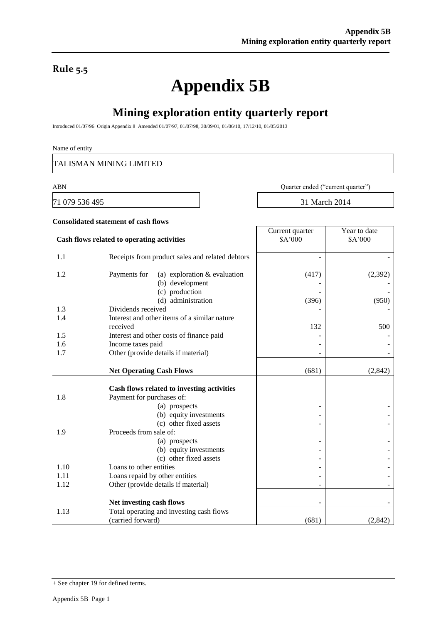### **Rule 5.5**

# **Appendix 5B**

## **Mining exploration entity quarterly report**

Introduced 01/07/96 Origin Appendix 8 Amended 01/07/97, 01/07/98, 30/09/01, 01/06/10, 17/12/10, 01/05/2013

#### Name of entity

TALISMAN MINING LIMITED

**Consolidated statement of cash flows**

71 079 536 495 31 March 2014

ABN Quarter ended ("current quarter")

| Cash flows related to operating activities                      |                                | Current quarter<br>\$A'000 | Year to date<br>\$A'000 |
|-----------------------------------------------------------------|--------------------------------|----------------------------|-------------------------|
| 1.1<br>Receipts from product sales and related debtors          |                                |                            |                         |
| 1.2<br>Payments for<br>(b) development                          | (a) exploration $&$ evaluation | (417)                      | (2, 392)                |
| (c) production<br>(d) administration                            |                                | (396)                      | (950)                   |
| Dividends received<br>1.3                                       |                                |                            |                         |
| Interest and other items of a similar nature<br>1.4<br>received |                                | 132                        | 500                     |
| 1.5<br>Interest and other costs of finance paid                 |                                |                            |                         |
| 1.6<br>Income taxes paid                                        |                                |                            |                         |
| 1.7<br>Other (provide details if material)                      |                                |                            |                         |
| <b>Net Operating Cash Flows</b>                                 |                                | (681)                      | (2, 842)                |
| Cash flows related to investing activities                      |                                |                            |                         |
| Payment for purchases of:<br>1.8                                |                                |                            |                         |
| (a) prospects                                                   |                                |                            |                         |
|                                                                 | (b) equity investments         |                            |                         |
| (c) other fixed assets                                          |                                |                            |                         |
| Proceeds from sale of:<br>1.9                                   |                                |                            |                         |
| (a) prospects                                                   |                                |                            |                         |
| (c) other fixed assets                                          | (b) equity investments         |                            |                         |
| Loans to other entities<br>1.10                                 |                                |                            |                         |
| Loans repaid by other entities<br>1.11                          |                                |                            |                         |
| Other (provide details if material)<br>1.12                     |                                |                            |                         |
| Net investing cash flows                                        |                                |                            |                         |
| Total operating and investing cash flows<br>1.13                |                                |                            |                         |

 $(carried forward)$  (681) (681) (2,842)

<sup>+</sup> See chapter 19 for defined terms.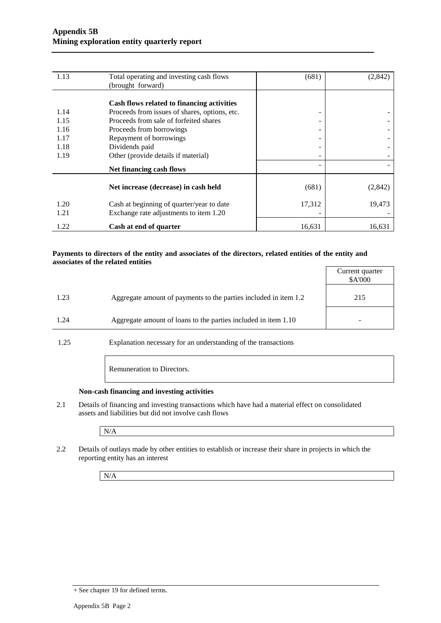| 1.13 | Total operating and investing cash flows      | (681)  | (2, 842) |
|------|-----------------------------------------------|--------|----------|
|      | (brought forward)                             |        |          |
|      |                                               |        |          |
|      | Cash flows related to financing activities    |        |          |
| 1.14 | Proceeds from issues of shares, options, etc. | -      |          |
| 1.15 | Proceeds from sale of forfeited shares        |        |          |
| 1.16 | Proceeds from borrowings                      |        |          |
| 1.17 | Repayment of borrowings                       |        |          |
| 1.18 | Dividends paid                                |        |          |
| 1.19 | Other (provide details if material)           |        |          |
|      | Net financing cash flows                      |        |          |
|      |                                               |        |          |
|      | Net increase (decrease) in cash held          | (681)  | (2, 842) |
| 1.20 | Cash at beginning of quarter/year to date     | 17,312 | 19,473   |
| 1.21 | Exchange rate adjustments to item 1.20        |        |          |
| 1.22 | Cash at end of quarter                        | 16,631 | 16,631   |

#### **Payments to directors of the entity and associates of the directors, related entities of the entity and associates of the related entities**

|      |                                                                  | Current quarter<br>\$A'000 |
|------|------------------------------------------------------------------|----------------------------|
| 1.23 | Aggregate amount of payments to the parties included in item 1.2 | 215                        |
| 1.24 | Aggregate amount of loans to the parties included in item 1.10   |                            |

1.25 Explanation necessary for an understanding of the transactions

Remuneration to Directors.

#### **Non-cash financing and investing activities**

2.1 Details of financing and investing transactions which have had a material effect on consolidated assets and liabilities but did not involve cash flows

N/A

2.2 Details of outlays made by other entities to establish or increase their share in projects in which the reporting entity has an interest

N/A

<sup>+</sup> See chapter 19 for defined terms.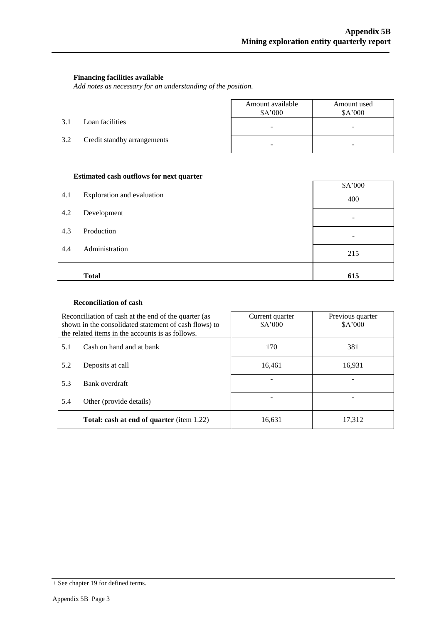#### **Financing facilities available**

*Add notes as necessary for an understanding of the position.*

|     |                             | Amount available<br>\$A'000 | Amount used<br>\$A'000   |
|-----|-----------------------------|-----------------------------|--------------------------|
| 3.1 | Loan facilities             | $\overline{\phantom{0}}$    | $\overline{\phantom{a}}$ |
| 3.2 | Credit standby arrangements | -                           |                          |

#### **Estimated cash outflows for next quarter**

| 4.1 | Exploration and evaluation | \$A'000<br>400 |
|-----|----------------------------|----------------|
| 4.2 | Development                |                |
| 4.3 | Production                 |                |
| 4.4 | Administration             | 215            |
|     | <b>Total</b>               | 615            |

#### **Reconciliation of cash**

|                                                                                                                                        | Reconciliation of cash at the end of the quarter (as<br>shown in the consolidated statement of cash flows) to<br>the related items in the accounts is as follows. | Current quarter<br>\$A'000 | Previous quarter<br>\$A'000 |  |
|----------------------------------------------------------------------------------------------------------------------------------------|-------------------------------------------------------------------------------------------------------------------------------------------------------------------|----------------------------|-----------------------------|--|
| Cash on hand and at bank<br>5.1                                                                                                        |                                                                                                                                                                   | 170                        | 381                         |  |
| Deposits at call<br>5.2<br>Bank overdraft<br>5.3<br>Other (provide details)<br>5.4<br><b>Total: cash at end of quarter</b> (item 1.22) |                                                                                                                                                                   | 16,461                     | 16,931                      |  |
|                                                                                                                                        |                                                                                                                                                                   |                            |                             |  |
|                                                                                                                                        |                                                                                                                                                                   |                            |                             |  |
|                                                                                                                                        |                                                                                                                                                                   | 16,631                     | 17,312                      |  |

<sup>+</sup> See chapter 19 for defined terms.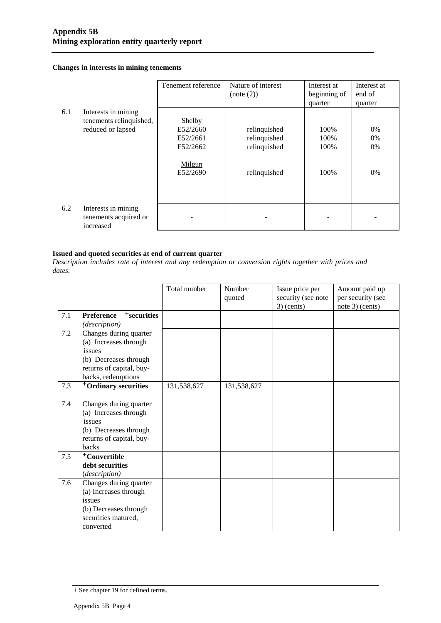#### **Changes in interests in mining tenements**

|     |                                                           | Tenement reference | Nature of interest<br>(note (2)) | Interest at<br>beginning of | Interest at<br>end of |
|-----|-----------------------------------------------------------|--------------------|----------------------------------|-----------------------------|-----------------------|
|     |                                                           |                    |                                  | quarter                     | quarter               |
| 6.1 | Interests in mining                                       |                    |                                  |                             |                       |
|     | tenements relinquished,                                   | <b>Shelby</b>      |                                  |                             |                       |
|     | reduced or lapsed                                         | E52/2660           | relinquished                     | 100%                        | 0%                    |
|     |                                                           | E52/2661           | relinquished                     | 100%                        | 0%                    |
|     |                                                           | E52/2662           | relinquished                     | 100%                        | 0%                    |
|     |                                                           | Milgun<br>E52/2690 | relinquished                     | 100%                        | 0%                    |
| 6.2 | Interests in mining<br>tenements acquired or<br>increased |                    |                                  |                             |                       |

#### **Issued and quoted securities at end of current quarter**

*Description includes rate of interest and any redemption or conversion rights together with prices and dates.*

|     |                                                                                                                                      | Total number | Number<br>quoted | Issue price per<br>security (see note<br>$3)$ (cents) | Amount paid up<br>per security (see<br>note 3) (cents) |
|-----|--------------------------------------------------------------------------------------------------------------------------------------|--------------|------------------|-------------------------------------------------------|--------------------------------------------------------|
| 7.1 | $+$ securities<br><b>Preference</b><br>(description)                                                                                 |              |                  |                                                       |                                                        |
| 7.2 | Changes during quarter<br>(a) Increases through<br>issues<br>(b) Decreases through<br>returns of capital, buy-<br>backs, redemptions |              |                  |                                                       |                                                        |
| 7.3 | <sup>+</sup> Ordinary securities                                                                                                     | 131,538,627  | 131,538,627      |                                                       |                                                        |
| 7.4 | Changes during quarter<br>(a) Increases through<br>issues<br>(b) Decreases through<br>returns of capital, buy-<br>backs              |              |                  |                                                       |                                                        |
| 7.5 | <sup>+</sup> Convertible<br>debt securities<br>(description)                                                                         |              |                  |                                                       |                                                        |
| 7.6 | Changes during quarter<br>(a) Increases through<br>issues<br>(b) Decreases through<br>securities matured,<br>converted               |              |                  |                                                       |                                                        |

<sup>+</sup> See chapter 19 for defined terms.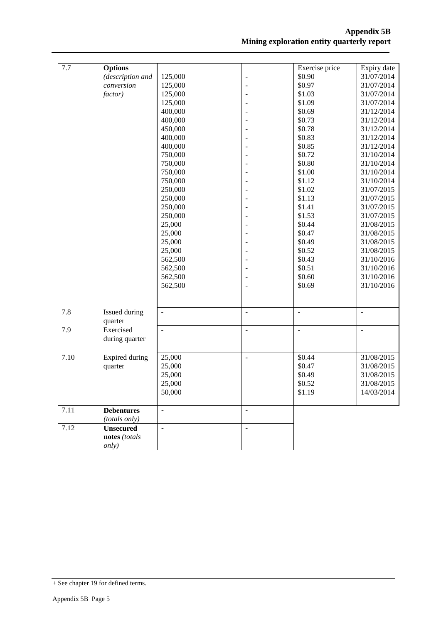| 7.7  | <b>Options</b>                 |                    |                          | Exercise price           | Expiry date              |
|------|--------------------------------|--------------------|--------------------------|--------------------------|--------------------------|
|      | (description and<br>conversion | 125,000<br>125,000 | $\overline{a}$           | \$0.90<br>\$0.97         | 31/07/2014<br>31/07/2014 |
|      | factor)                        |                    |                          | \$1.03                   |                          |
|      |                                | 125,000<br>125,000 |                          | \$1.09                   | 31/07/2014<br>31/07/2014 |
|      |                                | 400,000            |                          | \$0.69                   | 31/12/2014               |
|      |                                | 400,000            |                          | \$0.73                   | 31/12/2014               |
|      |                                | 450,000            |                          | \$0.78                   | 31/12/2014               |
|      |                                | 400,000            |                          | \$0.83                   | 31/12/2014               |
|      |                                | 400,000            |                          | \$0.85                   | 31/12/2014               |
|      |                                | 750,000            |                          | \$0.72                   | 31/10/2014               |
|      |                                |                    |                          | \$0.80                   |                          |
|      |                                | 750,000            |                          | \$1.00                   | 31/10/2014               |
|      |                                | 750,000            |                          | \$1.12                   | 31/10/2014<br>31/10/2014 |
|      |                                | 750,000            |                          | \$1.02                   | 31/07/2015               |
|      |                                | 250,000            |                          | \$1.13                   |                          |
|      |                                | 250,000<br>250,000 |                          | \$1.41                   | 31/07/2015               |
|      |                                |                    |                          | \$1.53                   | 31/07/2015               |
|      |                                | 250,000            |                          | \$0.44                   | 31/07/2015               |
|      |                                | 25,000<br>25,000   |                          | \$0.47                   | 31/08/2015               |
|      |                                |                    |                          | \$0.49                   | 31/08/2015<br>31/08/2015 |
|      |                                | 25,000<br>25,000   |                          | \$0.52                   | 31/08/2015               |
|      |                                | 562,500            |                          | \$0.43                   | 31/10/2016               |
|      |                                | 562,500            |                          | \$0.51                   | 31/10/2016               |
|      |                                | 562,500            |                          | \$0.60                   | 31/10/2016               |
|      |                                | 562,500            |                          | \$0.69                   | 31/10/2016               |
|      |                                |                    |                          |                          |                          |
|      |                                |                    |                          |                          |                          |
| 7.8  | Issued during                  | $\frac{1}{2}$      | $\overline{\phantom{a}}$ | $\overline{\phantom{a}}$ | $\blacksquare$           |
|      | quarter                        |                    |                          |                          |                          |
| 7.9  | Exercised                      | $\overline{a}$     | $\overline{a}$           | ÷,                       | $\frac{1}{2}$            |
|      | during quarter                 |                    |                          |                          |                          |
| 7.10 | Expired during                 | 25,000             | $\overline{\phantom{a}}$ | \$0.44                   | 31/08/2015               |
|      | quarter                        | 25,000             |                          | \$0.47                   | 31/08/2015               |
|      |                                | 25,000             |                          | \$0.49                   | 31/08/2015               |
|      |                                | 25,000             |                          | \$0.52                   | 31/08/2015               |
|      |                                | 50,000             |                          | \$1.19                   | 14/03/2014               |
|      |                                |                    |                          |                          |                          |
| 7.11 | <b>Debentures</b>              | $\Box$             | $\overline{\phantom{a}}$ |                          |                          |
|      | (totals only)                  |                    |                          |                          |                          |
| 7.12 | <b>Unsecured</b>               | $\frac{1}{2}$      | $\blacksquare$           |                          |                          |
|      | notes (totals                  |                    |                          |                          |                          |
|      | only)                          |                    |                          |                          |                          |

<sup>+</sup> See chapter 19 for defined terms.